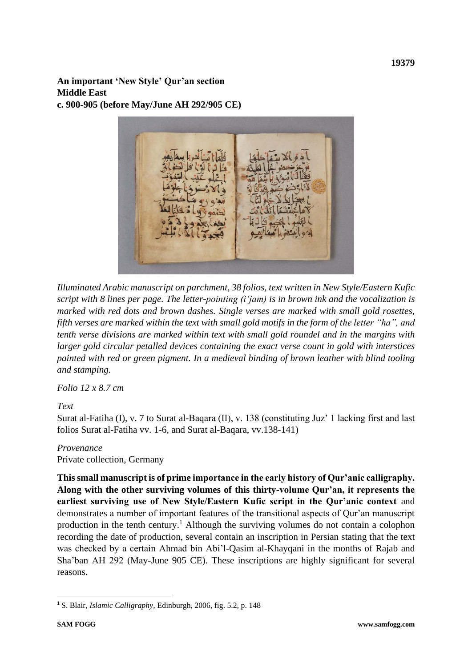**An important 'New Style' Qur'an section Middle East c. 900-905 (before May/June AH 292/905 CE)**



*Illuminated Arabic manuscript on parchment, 38 folios, text written in New Style/Eastern Kufic script with 8 lines per page. The letter-pointing (i'jam) is in brown ink and the vocalization is marked with red dots and brown dashes. Single verses are marked with small gold rosettes, fifth verses are marked within the text with small gold motifs in the form of the letter "ha", and tenth verse divisions are marked within text with small gold roundel and in the margins with larger gold circular petalled devices containing the exact verse count in gold with interstices painted with red or green pigment. In a medieval binding of brown leather with blind tooling and stamping.*

*Folio 12 x 8.7 cm*

## *Text*

Surat al-Fatiha (I), v. 7 to Surat al-Baqara (II), v. 138 (constituting Juz' 1 lacking first and last folios Surat al-Fatiha vv. 1-6, and Surat al-Baqara, vv.138-141)

## *Provenance*

Private collection, Germany

**This small manuscript is of prime importance in the early history of Qur'anic calligraphy. Along with the other surviving volumes of this thirty-volume Qur'an, it represents the earliest surviving use of New Style/Eastern Kufic script in the Qur'anic context** and demonstrates a number of important features of the transitional aspects of Qur'an manuscript production in the tenth century.<sup>1</sup> Although the surviving volumes do not contain a colophon recording the date of production, several contain an inscription in Persian stating that the text was checked by a certain Ahmad bin Abi'l-Qasim al-Khayqani in the months of Rajab and Sha'ban AH 292 (May-June 905 CE). These inscriptions are highly significant for several reasons.

<sup>1</sup> S. Blair, *Islamic Calligraphy,* Edinburgh, 2006, fig. 5.2, p. 148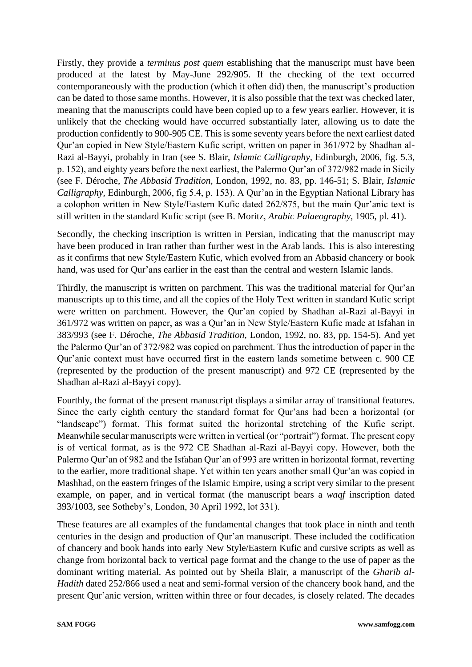Firstly, they provide a *terminus post quem* establishing that the manuscript must have been produced at the latest by May-June 292/905. If the checking of the text occurred contemporaneously with the production (which it often did) then, the manuscript's production can be dated to those same months. However, it is also possible that the text was checked later, meaning that the manuscripts could have been copied up to a few years earlier. However, it is unlikely that the checking would have occurred substantially later, allowing us to date the production confidently to 900-905 CE. This is some seventy years before the next earliest dated Qur'an copied in New Style/Eastern Kufic script, written on paper in 361/972 by Shadhan al-Razi al-Bayyi, probably in Iran (see S. Blair, *Islamic Calligraphy,* Edinburgh, 2006, fig. 5.3, p. 152), and eighty years before the next earliest, the Palermo Qur'an of 372/982 made in Sicily (see F. Déroche, *The Abbasid Tradition,* London, 1992, no. 83, pp. 146-51; S. Blair, *Islamic Calligraphy,* Edinburgh, 2006, fig 5.4, p. 153). A Qur'an in the Egyptian National Library has a colophon written in New Style/Eastern Kufic dated 262/875, but the main Qur'anic text is still written in the standard Kufic script (see B. Moritz, *Arabic Palaeography,* 1905, pl. 41).

Secondly, the checking inscription is written in Persian, indicating that the manuscript may have been produced in Iran rather than further west in the Arab lands. This is also interesting as it confirms that new Style/Eastern Kufic, which evolved from an Abbasid chancery or book hand, was used for Qur'ans earlier in the east than the central and western Islamic lands.

Thirdly, the manuscript is written on parchment. This was the traditional material for Qur'an manuscripts up to this time, and all the copies of the Holy Text written in standard Kufic script were written on parchment. However, the Qur'an copied by Shadhan al-Razi al-Bayyi in 361/972 was written on paper, as was a Qur'an in New Style/Eastern Kufic made at Isfahan in 383/993 (see F. Déroche, *The Abbasid Tradition,* London, 1992, no. 83, pp. 154-5). And yet the Palermo Qur'an of 372/982 was copied on parchment. Thus the introduction of paper in the Qur'anic context must have occurred first in the eastern lands sometime between c. 900 CE (represented by the production of the present manuscript) and 972 CE (represented by the Shadhan al-Razi al-Bayyi copy).

Fourthly, the format of the present manuscript displays a similar array of transitional features. Since the early eighth century the standard format for Qur'ans had been a horizontal (or "landscape") format. This format suited the horizontal stretching of the Kufic script. Meanwhile secular manuscripts were written in vertical (or "portrait") format. The present copy is of vertical format, as is the 972 CE Shadhan al-Razi al-Bayyi copy. However, both the Palermo Qur'an of 982 and the Isfahan Qur'an of 993 are written in horizontal format, reverting to the earlier, more traditional shape. Yet within ten years another small Qur'an was copied in Mashhad, on the eastern fringes of the Islamic Empire, using a script very similar to the present example, on paper, and in vertical format (the manuscript bears a *waqf* inscription dated 393/1003, see Sotheby's, London, 30 April 1992, lot 331).

These features are all examples of the fundamental changes that took place in ninth and tenth centuries in the design and production of Qur'an manuscript. These included the codification of chancery and book hands into early New Style/Eastern Kufic and cursive scripts as well as change from horizontal back to vertical page format and the change to the use of paper as the dominant writing material. As pointed out by Sheila Blair, a manuscript of the *Gharib al-Hadith* dated 252/866 used a neat and semi-formal version of the chancery book hand, and the present Qur'anic version, written within three or four decades, is closely related. The decades